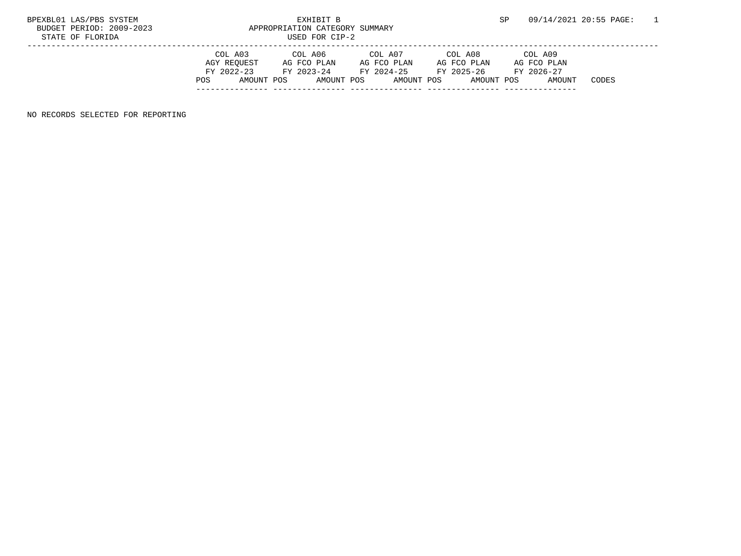## STATE OF FLORIDA USED FOR CIP-

| BPEXBL01 LAS/PBS SYSTEM  | PYHTRTT R                      | 09/14/2021 20:55 PAGE: |  |
|--------------------------|--------------------------------|------------------------|--|
| BUDGET PERIOD: 2009-2023 | APPROPRIATION CATEGORY SUMMARY |                        |  |
| STATE OF FLORIDA         | IISED FOR CIP-2                |                        |  |

|     | COL A03     | COL A06     | COL A07     | COL A08     | COL A09     |       |
|-----|-------------|-------------|-------------|-------------|-------------|-------|
|     | AGY REOUEST | AG FCO PLAN | AG FCO PLAN | AG FCO PLAN | AG FCO PLAN |       |
|     | FY 2022-23  | FY 2023-24  | FY 2024-25  | FY 2025-26  | FY 2026-27  |       |
| POS | AMOUNT POS  | AMOUNT POS  | AMOUNT POS  | AMOUNT POS  | AMOUNT      | CODES |
|     |             |             |             |             |             |       |

NO RECORDS SELECTED FOR REPORTING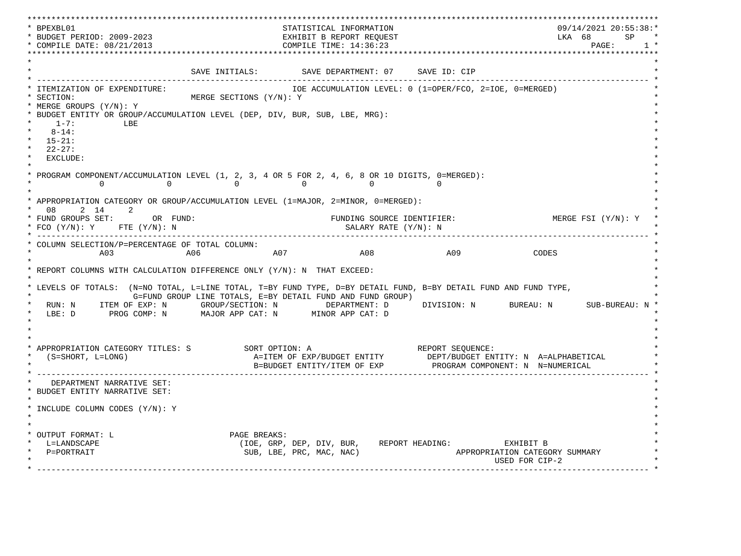\*\*\*\*\*\*\*\*\*\*\*\*\*\*\*\*\*\*\*\*\*\*\*\*\*\*\*\*\*\*\*\*\*\*\*\*\*\*\*\*\*\*\*\*\*\*\*\*\*\*\*\*\*\*\*\*\*\*\*\*\*\*\*\*\*\*\*\*\*\*\*\*\*\*\*\*\*\*\*\*\*\*\*\*\*\*\*\*\*\*\*\*\*\*\*\*\*\*\*\*\*\*\*\*\*\*\*\*\*\*\*\*\*\*\*\*\*\*\*\*\*\*\*\*\*\*\*\*\*\*\* \* BPEXBL01 STATISTICAL INFORMATION 09/14/2021 20:55:38:\* \* BUDGET PERIOD: 2009-2023 EXHIBIT B REPORT REQUEST LKA 68 SP \* \* COMPILE DATE: 08/21/2013 2000 COMPILE TIME: 14:36:23 \*\*\*\*\*\*\*\*\*\*\*\*\*\*\*\*\*\*\*\*\*\*\*\*\*\*\*\*\*\*\*\*\*\*\*\*\*\*\*\*\*\*\*\*\*\*\*\*\*\*\*\*\*\*\*\*\*\*\*\*\*\*\*\*\*\*\*\*\*\*\*\*\*\*\*\*\*\*\*\*\*\*\*\*\*\*\*\*\*\*\*\*\*\*\*\*\*\*\*\*\*\*\*\*\*\*\*\*\*\*\*\*\*\*\*\*\*\*\*\*\*\*\*\*\*\*\*\*\*\*\*  $\star$   $\star$ SAVE INITIALS: SAVE DEPARTMENT: 07 SAVE ID: CIP \* ------------------------------------------------------------------------------------------------------------------------------- \* \* ITEMIZATION OF EXPENDITURE: IOE ACCUMULATION LEVEL: 0 (1=OPER/FCO, 2=IOE, 0=MERGED) \* \* SECTION: MERGE SECTIONS (Y/N): Y \* \* MERGE GROUPS (Y/N): Y \* \* BUDGET ENTITY OR GROUP/ACCUMULATION LEVEL (DEP, DIV, BUR, SUB, LBE, MRG): \*  $*$  1-7: LBE  $*$  $*$  8-14:  $*$  \* 15-21: \* \* 22-27: \* \* EXCLUDE: \*  $\star$   $\star$ PROGRAM COMPONENT/ACCUMULATION LEVEL  $(1, 2, 3, 4$  OR 5 FOR  $2, 4, 6, 8$  OR 10 DIGITS, 0=MERGED):<br>0 0 0 0 \* 0 0 0 0 0 0 \*  $\star$   $\star$  \* APPROPRIATION CATEGORY OR GROUP/ACCUMULATION LEVEL (1=MAJOR, 2=MINOR, 0=MERGED): \* \* 08 2 14 2 \* \* FUND GROUPS SET: OR FUND: THE SOURCE IDENTIFIER: THE MERGE FSI (Y/N): Y \* FCO (Y/N): Y FTE (Y/N): N SALARY RATE (Y/N): N \* \* ------------------------------------------------------------------------------------------------------------------------------- \* \* COLUMN SELECTION/P=PERCENTAGE OF TOTAL COLUMN: \* \* A03 A06 A07 A08 A09 CODES \*  $\star$   $\star$  \* REPORT COLUMNS WITH CALCULATION DIFFERENCE ONLY (Y/N): N THAT EXCEED: \* \* \* \* LEVELS OF TOTALS: (N=NO TOTAL, L=LINE TOTAL, T=BY FUND TYPE, D=BY DETAIL FUND, B=BY DETAIL FUND AND FUND TYPE, \* G=FUND GROUP LINE TOTALS, E=BY DETAIL FUND AND FUND GROUP) \* RUN: N ITEM OF EXP: N GROUP/SECTION: N DEPARTMENT: D DIVISION: N BUREAU: N SUB-BUREAU: N \* LBE: D PROG COMP: N MAJOR APP CAT: N MINOR APP CAT: D \* \*  $\star$   $\star$  $\star$   $\star$  \* APPROPRIATION CATEGORY TITLES: S SORT OPTION: A REPORT SEQUENCE: \* (S=SHORT, L=LONG)  $A=ITEM$  OF EXP/BUDGET ENTITY DEPT/BUDGET ENTITY: N A=ALPHABETICAL B=BUDGET ENTITY/ITEM OF EXP PROGRAM COMPONENT: N N=NUMERICAL \* ------------------------------------------------------------------------------------------------------------------------------- \* DEPARTMENT NARRATIVE SET: \* BUDGET ENTITY NARRATIVE SET: \*  $\star$   $\star$  \* INCLUDE COLUMN CODES (Y/N): Y \* \* \* \* \* \* OUTPUT FORMAT: L PAGE BREAKS:<br>
\* L=LANDSCAPE (IOE, GRP, \* L=LANDSCAPE (IOE, GRP, DEP, DIV, BUR, REPORT HEADING: EXHIBIT B \* APPROPRIATION CATEGORY SUMMARY USED FOR CIP-2  $\mathcal{L}^{\mathcal{L}}$